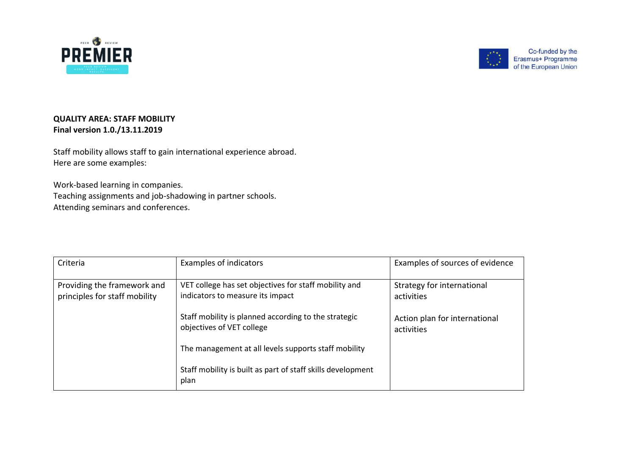



Co-funded by the Erasmus+ Programme of the European Union

## **QUALITY AREA: STAFF MOBILITY Final version 1.0./13.11.2019**

Staff mobility allows staff to gain international experience abroad. Here are some examples:

Work-based learning in companies. Teaching assignments and job-shadowing in partner schools. Attending seminars and conferences.

| Criteria                                                     | Examples of indicators                                                                    | Examples of sources of evidence             |
|--------------------------------------------------------------|-------------------------------------------------------------------------------------------|---------------------------------------------|
| Providing the framework and<br>principles for staff mobility | VET college has set objectives for staff mobility and<br>indicators to measure its impact | Strategy for international<br>activities    |
|                                                              | Staff mobility is planned according to the strategic<br>objectives of VET college         | Action plan for international<br>activities |
|                                                              | The management at all levels supports staff mobility                                      |                                             |
|                                                              | Staff mobility is built as part of staff skills development<br>plan                       |                                             |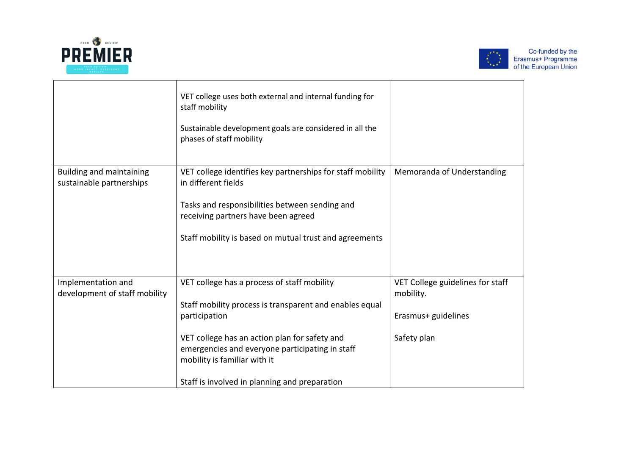



|                                                             | VET college uses both external and internal funding for<br>staff mobility<br>Sustainable development goals are considered in all the<br>phases of staff mobility                                                                                                                                             |                                                                                     |
|-------------------------------------------------------------|--------------------------------------------------------------------------------------------------------------------------------------------------------------------------------------------------------------------------------------------------------------------------------------------------------------|-------------------------------------------------------------------------------------|
| <b>Building and maintaining</b><br>sustainable partnerships | VET college identifies key partnerships for staff mobility<br>in different fields<br>Tasks and responsibilities between sending and<br>receiving partners have been agreed<br>Staff mobility is based on mutual trust and agreements                                                                         | Memoranda of Understanding                                                          |
| Implementation and<br>development of staff mobility         | VET college has a process of staff mobility<br>Staff mobility process is transparent and enables equal<br>participation<br>VET college has an action plan for safety and<br>emergencies and everyone participating in staff<br>mobility is familiar with it<br>Staff is involved in planning and preparation | VET College guidelines for staff<br>mobility.<br>Erasmus+ guidelines<br>Safety plan |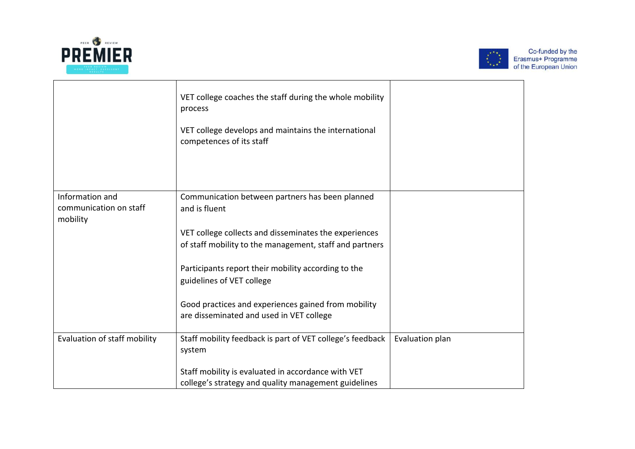



|                                                       | VET college coaches the staff during the whole mobility<br>process                                               |                 |
|-------------------------------------------------------|------------------------------------------------------------------------------------------------------------------|-----------------|
|                                                       | VET college develops and maintains the international<br>competences of its staff                                 |                 |
|                                                       |                                                                                                                  |                 |
| Information and<br>communication on staff<br>mobility | Communication between partners has been planned<br>and is fluent                                                 |                 |
|                                                       | VET college collects and disseminates the experiences<br>of staff mobility to the management, staff and partners |                 |
|                                                       | Participants report their mobility according to the<br>guidelines of VET college                                 |                 |
|                                                       | Good practices and experiences gained from mobility<br>are disseminated and used in VET college                  |                 |
| Evaluation of staff mobility                          | Staff mobility feedback is part of VET college's feedback<br>system                                              | Evaluation plan |
|                                                       | Staff mobility is evaluated in accordance with VET<br>college's strategy and quality management guidelines       |                 |